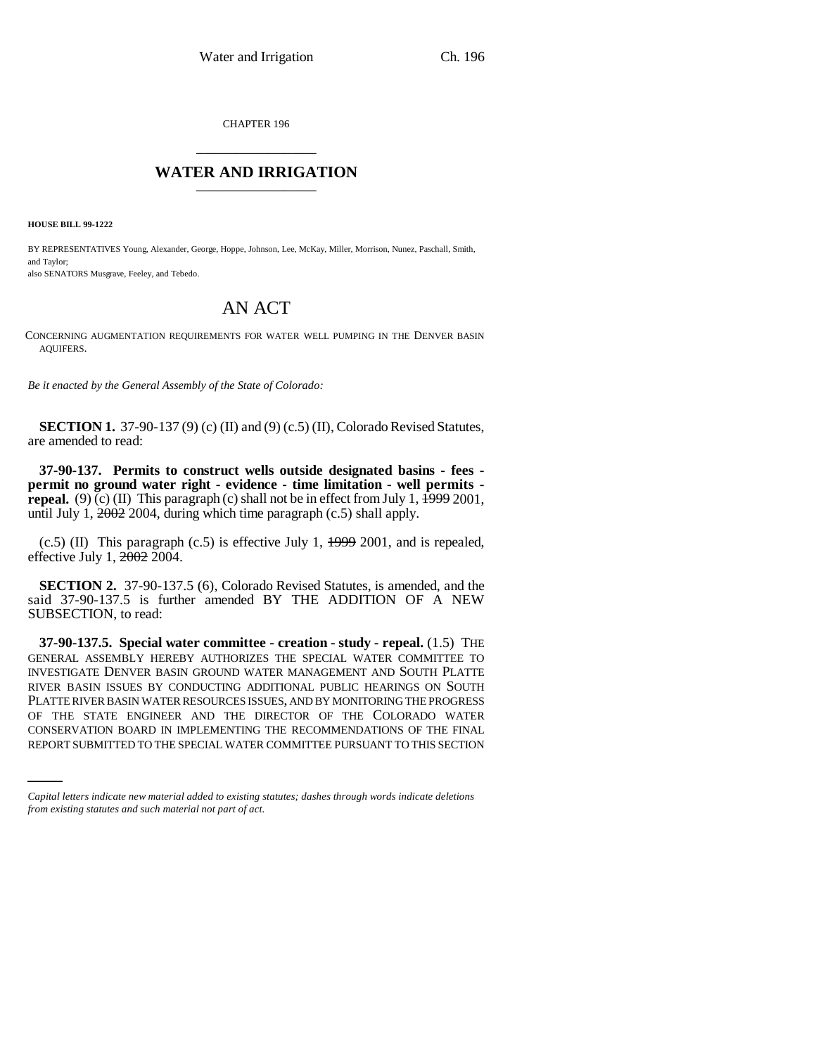CHAPTER 196 \_\_\_\_\_\_\_\_\_\_\_\_\_\_\_

## **WATER AND IRRIGATION** \_\_\_\_\_\_\_\_\_\_\_\_\_\_\_

**HOUSE BILL 99-1222** 

BY REPRESENTATIVES Young, Alexander, George, Hoppe, Johnson, Lee, McKay, Miller, Morrison, Nunez, Paschall, Smith, and Taylor;

also SENATORS Musgrave, Feeley, and Tebedo.

## AN ACT

CONCERNING AUGMENTATION REQUIREMENTS FOR WATER WELL PUMPING IN THE DENVER BASIN AQUIFERS.

*Be it enacted by the General Assembly of the State of Colorado:*

**SECTION 1.** 37-90-137 (9) (c) (II) and (9) (c.5) (II), Colorado Revised Statutes, are amended to read:

**37-90-137. Permits to construct wells outside designated basins - fees permit no ground water right - evidence - time limitation - well permits repeal.** (9) (c) (II) This paragraph (c) shall not be in effect from July 1,  $\frac{1999}{2001}$ , until July 1, 2002 2004, during which time paragraph (c.5) shall apply.

 $(c.5)$  (II) This paragraph  $(c.5)$  is effective July 1,  $\frac{1999}{2001}$ , and is repealed, effective July 1,  $\frac{2002}{2004}$ .

**SECTION 2.** 37-90-137.5 (6), Colorado Revised Statutes, is amended, and the said 37-90-137.5 is further amended BY THE ADDITION OF A NEW SUBSECTION, to read:

OF THE STATE ENGINEER AND THE DIRECTOR OF THE COLORADO WATER **37-90-137.5. Special water committee - creation - study - repeal.** (1.5) THE GENERAL ASSEMBLY HEREBY AUTHORIZES THE SPECIAL WATER COMMITTEE TO INVESTIGATE DENVER BASIN GROUND WATER MANAGEMENT AND SOUTH PLATTE RIVER BASIN ISSUES BY CONDUCTING ADDITIONAL PUBLIC HEARINGS ON SOUTH PLATTE RIVER BASIN WATER RESOURCES ISSUES, AND BY MONITORING THE PROGRESS CONSERVATION BOARD IN IMPLEMENTING THE RECOMMENDATIONS OF THE FINAL REPORT SUBMITTED TO THE SPECIAL WATER COMMITTEE PURSUANT TO THIS SECTION

*Capital letters indicate new material added to existing statutes; dashes through words indicate deletions from existing statutes and such material not part of act.*